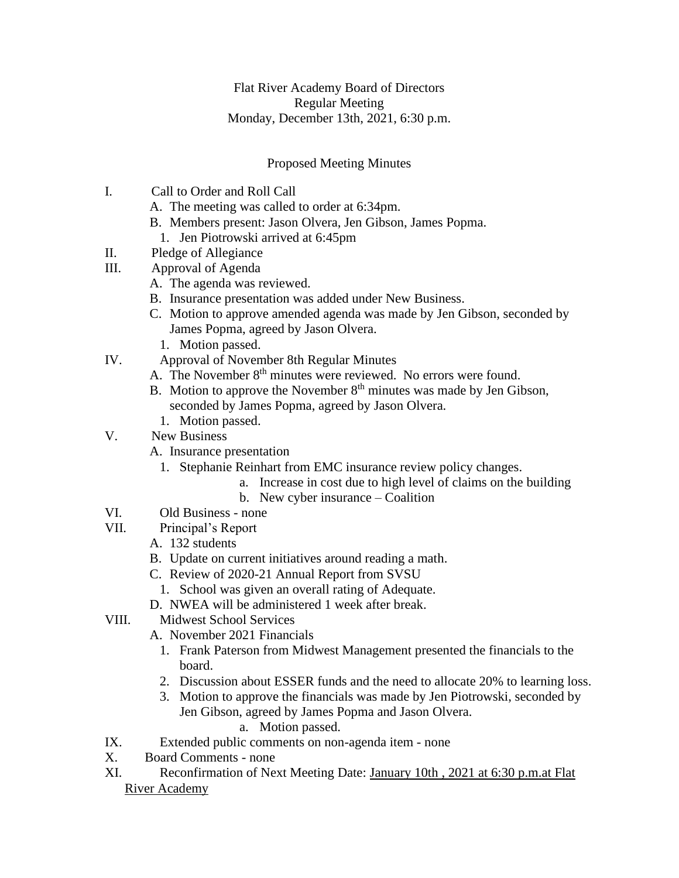## Flat River Academy Board of Directors Regular Meeting Monday, December 13th, 2021, 6:30 p.m.

## Proposed Meeting Minutes

- I. Call to Order and Roll Call
	- A. The meeting was called to order at 6:34pm.
	- B. Members present: Jason Olvera, Jen Gibson, James Popma.
	- 1. Jen Piotrowski arrived at 6:45pm
- II. Pledge of Allegiance
- III. Approval of Agenda
	- A. The agenda was reviewed.
	- B. Insurance presentation was added under New Business.
	- C. Motion to approve amended agenda was made by Jen Gibson, seconded by James Popma, agreed by Jason Olvera.
		- 1. Motion passed.
- IV. Approval of November 8th Regular Minutes
	- A. The November 8<sup>th</sup> minutes were reviewed. No errors were found.
		- B. Motion to approve the November  $8<sup>th</sup>$  minutes was made by Jen Gibson, seconded by James Popma, agreed by Jason Olvera.
			- 1. Motion passed.
- V. New Business
	- A. Insurance presentation
		- 1. Stephanie Reinhart from EMC insurance review policy changes.
			- a. Increase in cost due to high level of claims on the building
			- b. New cyber insurance Coalition
- VI. Old Business none
- VII. Principal's Report
	- A. 132 students
	- B. Update on current initiatives around reading a math.
	- C. Review of 2020-21 Annual Report from SVSU
		- 1. School was given an overall rating of Adequate.
	- D. NWEA will be administered 1 week after break.
- VIII. Midwest School Services
	- A. November 2021 Financials
		- 1. Frank Paterson from Midwest Management presented the financials to the board.
		- 2. Discussion about ESSER funds and the need to allocate 20% to learning loss.
		- 3. Motion to approve the financials was made by Jen Piotrowski, seconded by Jen Gibson, agreed by James Popma and Jason Olvera.
			- a. Motion passed.
- IX. Extended public comments on non-agenda item none
- X. Board Comments none
- XI. Reconfirmation of Next Meeting Date: January 10th , 2021 at 6:30 p.m.at Flat River Academy